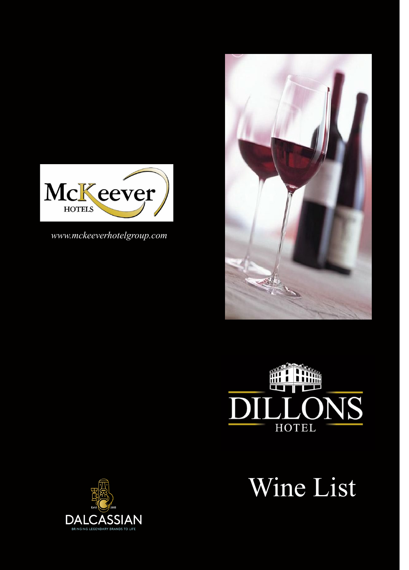

*www.mckeeverhotelgroup.com*





Wine List